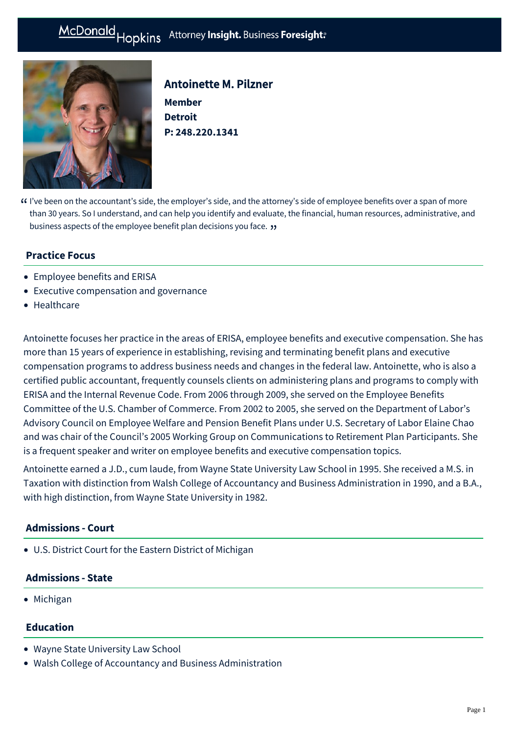# McDonald Hopkins Attorney Insight. Business Foresight:



## Antoinette M. Pilzner

**Member Detroit P: [248.220.1341](tel:248.220.1341)**

I've been on the accountant's side, the employer's side, and the attorney's side of employee benefits over a span of more " than 30 years. So I understand, and can help you identify and evaluate, the financial, human resources, administrative, and business aspects of the employee benefit plan decisions you face. "

## **Practice Focus**

- [Employee benefits and ERISA](https://mcdonaldhopkins.com/Expertise/Tax-and-benefits/Employee-benefits-and-ERISA)
- [Executive compensation and governance](https://mcdonaldhopkins.com/Expertise/Tax-and-benefits/Executive-compensation-and-governance)
- [Healthcare](https://mcdonaldhopkins.com/Expertise/Healthcare)

Antoinette focuses her practice in the areas of ERISA, employee benefits and executive compensation. She has more than 15 years of experience in establishing, revising and terminating benefit plans and executive compensation programs to address business needs and changes in the federal law. Antoinette, who is also a certified public accountant, frequently counsels clients on administering plans and programs to comply with ERISA and the Internal Revenue Code. From 2006 through 2009, she served on the Employee Benefits Committee of the U.S. Chamber of Commerce. From 2002 to 2005, she served on the Department of Labor's Advisory Council on Employee Welfare and Pension Benefit Plans under U.S. Secretary of Labor Elaine Chao and was chair of the Council's 2005 Working Group on Communications to Retirement Plan Participants. She is a frequent speaker and writer on employee benefits and executive compensation topics.

Antoinette earned a J.D., cum laude, from Wayne State University Law School in 1995. She received a M.S. in Taxation with distinction from Walsh College of Accountancy and Business Administration in 1990, and a B.A., with high distinction, from Wayne State University in 1982.

#### **Admissions - Court**

U.S. District Court for the Eastern District of Michigan

#### **Admissions - State**

• Michigan

#### **Education**

- Wayne State University Law School
- Walsh College of Accountancy and Business Administration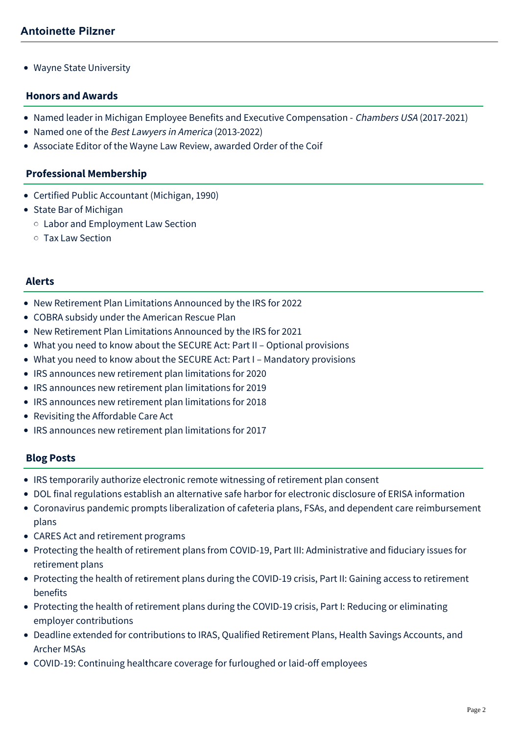• Wayne State University

#### **Honors and Awards**

- Named leader in Michigan Employee Benefits and Executive Compensation Chambers USA (2017-2021)
- Named one of the Best Lawyers in America (2013-2022)
- Associate Editor of the Wayne Law Review, awarded Order of the Coif

#### **Professional Membership**

- Certified Public Accountant (Michigan, 1990)
- State Bar of Michigan
	- Labor and Employment Law Section
	- Tax Law Section

#### **Alerts**

- [New Retirement Plan Limitations Announced by the IRS for 2022](https://mcdonaldhopkins.com/Insights/November-2021/New-Retirement-Plan-Limitations-2022)
- [COBRA subsidy under the American Rescue Plan](https://mcdonaldhopkins.com/Insights/March-2021/COBRA-subsidy-under-the-American-Rescue-Plan)
- [New Retirement Plan Limitations Announced by the IRS for 2021](https://mcdonaldhopkins.com/Insights/October-2020/New-Retirement-Plan-Limitations-Announced-by-the-I)
- [What you need to know about the SECURE Act: Part II Optional provisions](https://mcdonaldhopkins.com/Insights/February-2020/What-you-need-to-know-about-the-SECURE-Act-Part-II)
- [What you need to know about the SECURE Act: Part I Mandatory provisions](https://mcdonaldhopkins.com/Insights/February-2020/What-you-need-to-know-about-the-SECURE-Act-Part-I)
- [IRS announces new retirement plan limitations for 2020](https://mcdonaldhopkins.com/Insights/November-2019/IRS-announces-new-retirement-plan-limitations-for)
- [IRS announces new retirement plan limitations for 2019](https://mcdonaldhopkins.com/Insights/November-2018/IRS-announces-new-retirement-plan-limitations-for)
- [IRS announces new retirement plan limitations for 2018](https://mcdonaldhopkins.com/Insights/October-2017/IRS-announces-new-retirement-plan-limitations-for)
- [Revisiting the Affordable Care Act](https://mcdonaldhopkins.com/Insights/March-2017/Revisiting-the-Affordable-Care-Act)
- [IRS announces new retirement plan limitations for 2017](https://mcdonaldhopkins.com/Insights/October-2016/IRS-announces-new-retirement-plan-limitations-for)

#### **Blog Posts**

- [IRS temporarily authorize electronic remote witnessing of retirement plan consent](https://mcdonaldhopkins.com/Insights/June-2020-(1)/IRS-temporarily-authorize-electronic-remote-witnes)
- [DOL final regulations establish an alternative safe harbor for electronic disclosure of ERISA information](https://mcdonaldhopkins.com/Insights/June-2020-(1)/DOL-final-regulations-establish-an-alternative-saf)
- [Coronavirus pandemic prompts liberalization of cafeteria plans, FSAs, and dependent care reimbursement](https://mcdonaldhopkins.com/Insights/May-2020/Coronavirus-pandemic-prompts-liberalization-of-caf) plans
- [CARES Act and retirement programs](https://mcdonaldhopkins.com/Insights/April-2020/CARES-Act-and-retirement-programs)
- [Protecting the health of retirement plans from COVID-19, Part III: Administrative and fiduciary issues for](https://mcdonaldhopkins.com/Insights/April-2020/Protecting-the-health-of-retirement-plans-from-COV) retirement plans
- [Protecting the health of retirement plans during the COVID-19 crisis, Part II: Gaining access to retirement](https://mcdonaldhopkins.com/Insights/March-2020/Protecting-the-health-of-retirement-plans-duri-(1)) benefits
- [Protecting the health of retirement plans during the COVID-19 crisis, Part I: Reducing or eliminating](https://mcdonaldhopkins.com/Insights/March-2020/Protecting-the-health-of-retirement-plans-during-t) employer contributions
- [Deadline extended for contributions to IRAS, Qualified Retirement Plans, Health Savings Accounts, and](https://mcdonaldhopkins.com/Insights/March-2020/Deadline-extended-for-contributions-to-IRAS-Qualif) Archer MSAs
- [COVID-19: Continuing healthcare coverage for furloughed or laid-off employees](https://mcdonaldhopkins.com/Insights/March-2020/COVID-19-Continuing-healthcare-coverage-for-furlou)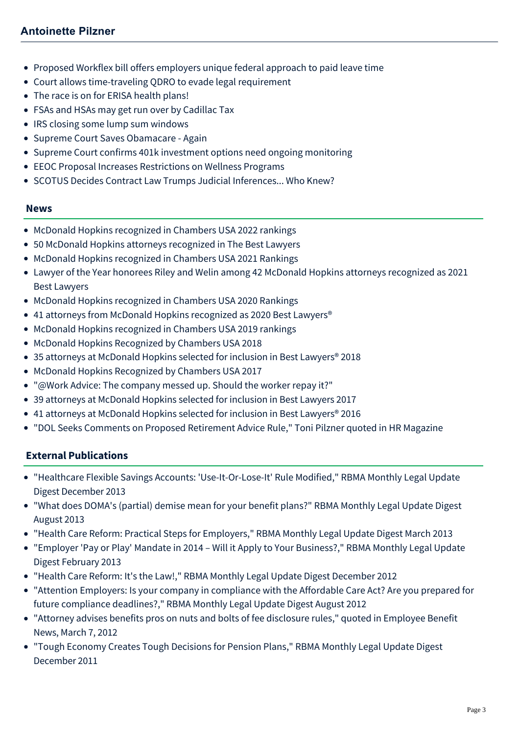# **Antoinette Pilzner**

- [Proposed Workflex bill offers employers unique federal approach to paid leave time](https://mcdonaldhopkins.com/Insights/November-2017/Proposed-Workflex-bill-offers-employers-unique-fed)
- [Court allows time-traveling QDRO to evade legal requirement](https://mcdonaldhopkins.com/Insights/April-2016/Court-allows-time-traveling-QDRO-to-evade-legal-re)
- [The race is on for ERISA health plans!](https://mcdonaldhopkins.com/Insights/January-2016/The-race-is-on-for-ERISA-health-plans!)
- [FSAs and HSAs may get run over by Cadillac Tax](https://mcdonaldhopkins.com/Insights/October-2015/FSAs-and-HSAs-may-get-run-over-by-Cadillac-Tax)
- [IRS closing some lump sum windows](https://mcdonaldhopkins.com/Insights/July-2015/IRS-closing-some-lump-sum-windows)
- [Supreme Court Saves Obamacare Again](https://mcdonaldhopkins.com/Insights/June-2015/Supreme-Court-Saves-Obamacare-Again)
- [Supreme Court confirms 401k investment options need ongoing monitoring](https://mcdonaldhopkins.com/Insights/May-2015/Supreme-Court-confirms-401k-investment-options-nee)
- [EEOC Proposal Increases Restrictions on Wellness Programs](https://mcdonaldhopkins.com/Insights/April-2015/EEOC-Proposal-Increases-Restrictions-on-Wellness-P)
- [SCOTUS Decides Contract Law Trumps Judicial Inferences... Who Knew?](https://mcdonaldhopkins.com/Insights/January-2015/SCOTUS-Decides-Contract-Law-Trumps-Judicial-Infere)

#### **News**

- [McDonald Hopkins recognized in Chambers USA 2022 rankings](https://mcdonaldhopkins.com/Insights/June-2022/McDonald-Hopkins-recognized-in-Chambers-USA-2022)
- [50 McDonald Hopkins attorneys recognized in The Best Lawyers](https://mcdonaldhopkins.com/Insights/August-2021/50-McDonald-Hopkins-attorneys-recognized-in-The-Be)
- [McDonald Hopkins recognized in Chambers USA 2021 Rankings](https://mcdonaldhopkins.com/Insights/May-2021/McDonald-Hopkins-recognized-in-Chambers-USA-2021-R)
- [Lawyer of the Year honorees Riley and Welin among 42 McDonald Hopkins attorneys recognized as 2021](https://mcdonaldhopkins.com/Insights/August-2020/Lawyer-of-the-Year-honorees-Riley-and-Welin-among) Best Lawyers
- [McDonald Hopkins recognized in Chambers USA 2020 Rankings](https://mcdonaldhopkins.com/Insights/April-2020/McDonald-Hopkins-recognized-in-Chambers-USA-2020-R)
- 41 attorneys from McDonald Hopkins recognized as 2020 Best Lawyers<sup>®</sup>
- [McDonald Hopkins recognized in Chambers USA 2019 rankings](https://mcdonaldhopkins.com/Insights/April-2019/McDonald-Hopkins-recognized-in-Chambers-USA-2019-r)
- [McDonald Hopkins Recognized by Chambers USA 2018](https://mcdonaldhopkins.com/Insights/May-2018/McDonald-Hopkins-Recognized-by-Chambers-USA-2018)
- [35 attorneys at McDonald Hopkins selected for inclusion in Best Lawyers® 2018](https://mcdonaldhopkins.com/Insights/August-2017/35-attorneys-at-McDonald-Hopkins-selected-for-incl)
- [McDonald Hopkins Recognized by Chambers USA 2017](https://mcdonaldhopkins.com/Insights/May-2017/McDonald-Hopkins-Recognized-by-Chambers-USA-2017)
- ["@Work Advice: The company messed up. Should the worker repay it?"](https://mcdonaldhopkins.com/Insights/May-2017/The-company-messed-up-Should-the-worker-repay-it)
- [39 attorneys at McDonald Hopkins selected for inclusion in Best Lawyers 2017](https://mcdonaldhopkins.com/Insights/August-2016/39-attorneys-at-McDonald-Hopkins-selected-for-incl)
- 41 attorneys at McDonald Hopkins selected for inclusion in Best Lawyers<sup>®</sup> 2016
- ["DOL Seeks Comments on Proposed Retirement Advice Rule," Toni Pilzner quoted in HR Magazine](https://mcdonaldhopkins.com/Insights/April-2015/DOL-Seeks-Comments-on-Proposed-Retirement-Advice-R)

## **External Publications**

- "[Healthcare Flexible Savings Accounts: 'Use-It-Or-Lose-It' Rule Modified,](http://www.rbma.org/RBMA_Monthly_Legal_Update_Digest_December_2013/#1)" RBMA Monthly Legal Update Digest December 2013
- "What does DOMA's (partial) demise mean for your benefit plans?" RBMA Monthly Legal Update Digest August 2013
- "Health Care Reform: Practical Steps for Employers," RBMA Monthly Legal Update Digest March 2013
- "Employer 'Pay or Play' Mandate in 2014 Will it Apply to Your Business?," RBMA Monthly Legal Update Digest February 2013
- "Health Care Reform: It's the Law!," RBMA Monthly Legal Update Digest December 2012
- "Attention Employers: Is your company in compliance with the Affordable Care Act? Are you prepared for future compliance deadlines?," RBMA Monthly Legal Update Digest August 2012
- "Attorney advises benefits pros on nuts and bolts of fee disclosure rules," quoted in Employee Benefit News, March 7, 2012
- "Tough Economy Creates Tough Decisions for Pension Plans," RBMA Monthly Legal Update Digest December 2011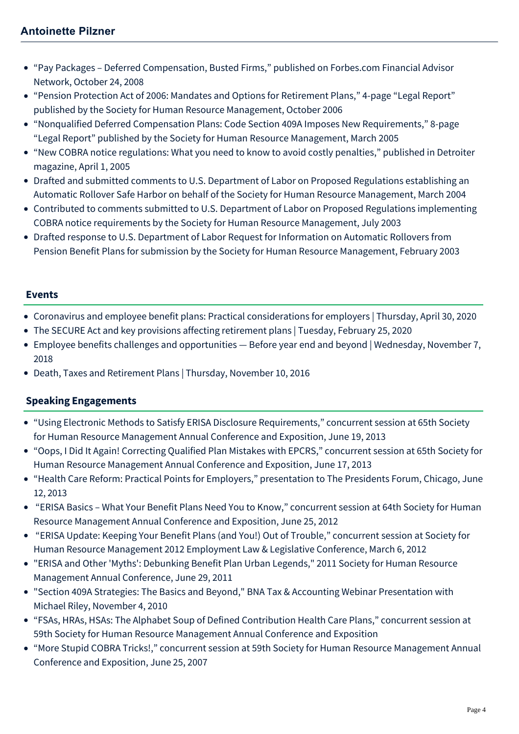- "Pay Packages Deferred Compensation, Busted Firms," published on Forbes.com Financial Advisor Network, October 24, 2008
- "Pension Protection Act of 2006: Mandates and Options for Retirement Plans," 4-page "Legal Report" published by the Society for Human Resource Management, October 2006
- "Nonqualified Deferred Compensation Plans: Code Section 409A Imposes New Requirements," 8-page "Legal Report" published by the Society for Human Resource Management, March 2005
- "New COBRA notice regulations: What you need to know to avoid costly penalties," published in Detroiter magazine, April 1, 2005
- Drafted and submitted comments to U.S. Department of Labor on Proposed Regulations establishing an Automatic Rollover Safe Harbor on behalf of the Society for Human Resource Management, March 2004
- Contributed to comments submitted to U.S. Department of Labor on Proposed Regulations implementing COBRA notice requirements by the Society for Human Resource Management, July 2003
- Drafted response to U.S. Department of Labor Request for Information on Automatic Rollovers from Pension Benefit Plans for submission by the Society for Human Resource Management, February 2003

## **Events**

- [Coronavirus and employee benefit plans: Practical considerations for employers | Thursday, April 30, 2020](https://mcdonaldhopkins.com/Events/2020/Coronavirus-and-employee-benefit-plans-practical-c)
- [The SECURE Act and key provisions affecting retirement plans | Tuesday, February 25, 2020](https://mcdonaldhopkins.com/Events/2020/The-SECURE-Act-and-key-provisions-affecting-retire)
- [Employee benefits challenges and opportunities Before year end and beyond | Wednesday, November 7,](https://mcdonaldhopkins.com/Events/2018/Employee-benefits-challenges-and-opportunities) 2018
- [Death, Taxes and Retirement Plans | Thursday, November 10, 2016](https://mcdonaldhopkins.com/Events/2016/Death-Taxes-and-Retirement-Plans)

# **Speaking Engagements**

- "Using Electronic Methods to Satisfy ERISA Disclosure Requirements," concurrent session at 65th Society for Human Resource Management Annual Conference and Exposition, June 19, 2013
- "Oops, I Did It Again! Correcting Qualified Plan Mistakes with EPCRS," concurrent session at 65th Society for Human Resource Management Annual Conference and Exposition, June 17, 2013
- "Health Care Reform: Practical Points for Employers," presentation to The Presidents Forum, Chicago, June 12, 2013
- "ERISA Basics What Your Benefit Plans Need You to Know," concurrent session at 64th Society for Human Resource Management Annual Conference and Exposition, June 25, 2012
- "ERISA Update: Keeping Your Benefit Plans (and You!) Out of Trouble," concurrent session at Society for Human Resource Management 2012 Employment Law & Legislative Conference, March 6, 2012
- "ERISA and Other 'Myths': Debunking Benefit Plan Urban Legends," 2011 Society for Human Resource Management Annual Conference, June 29, 2011
- "Section 409A Strategies: The Basics and Beyond," BNA Tax & Accounting Webinar Presentation with Michael Riley, November 4, 2010
- "FSAs, HRAs, HSAs: The Alphabet Soup of Defined Contribution Health Care Plans," concurrent session at 59th Society for Human Resource Management Annual Conference and Exposition
- "More Stupid COBRA Tricks!," concurrent session at 59th Society for Human Resource Management Annual Conference and Exposition, June 25, 2007